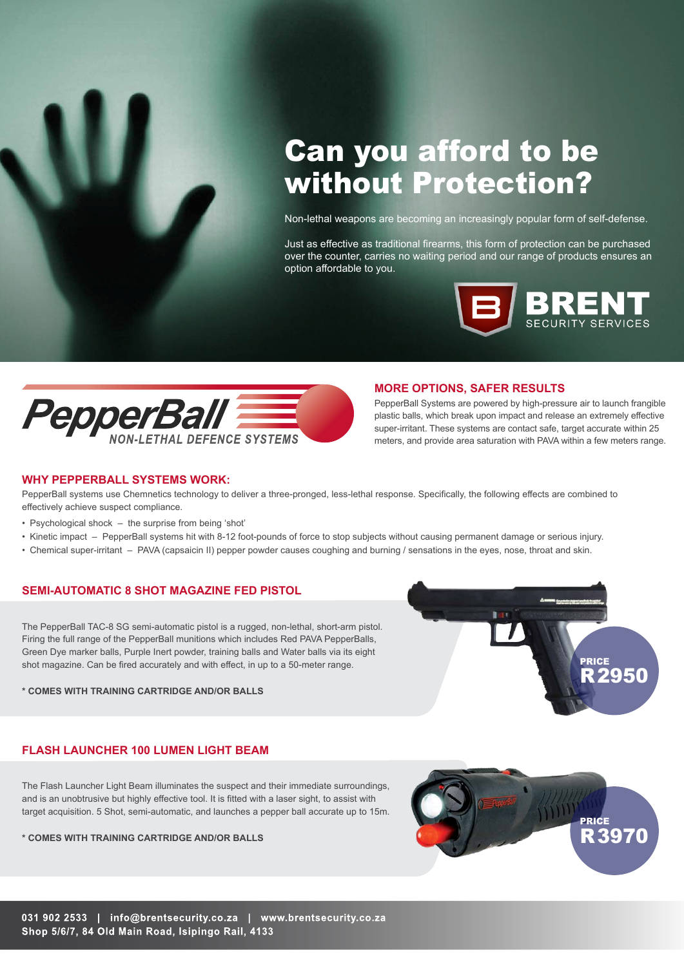

Non-lethal weapons are becoming an increasingly popular form of self-defense.

Just as effective as traditional firearms, this form of protection can be purchased over the counter, carries no waiting period and our range of products ensures an option affordable to you.





#### **MORE OPTIONS, SAFER RESULTS**

PepperBall Systems are powered by high-pressure air to launch frangible plastic balls, which break upon impact and release an extremely effective super-irritant. These systems are contact safe, target accurate within 25 meters, and provide area saturation with PAVA within a few meters range.

#### **WHY PEPPERBALL SYSTEMS WORK:**

PepperBall systems use Chemnetics technology to deliver a three-pronged, less-lethal response. Specifically, the following effects are combined to effectively achieve suspect compliance.

- Psychological shock the surprise from being 'shot'
- Kinetic impact PepperBall systems hit with 8-12 foot-pounds of force to stop subjects without causing permanent damage or serious injury.
- Chemical super-irritant PAVA (capsaicin II) pepper powder causes coughing and burning / sensations in the eyes, nose, throat and skin.

## **SEMI-AUTOMATIC 8 SHOT MAGAZINE FED PISTOL**

The PepperBall TAC-8 SG semi-automatic pistol is a rugged, non-lethal, short-arm pistol. Firing the full range of the PepperBall munitions which includes Red PAVA PepperBalls, Green Dye marker balls, Purple Inert powder, training balls and Water balls via its eight shot magazine. Can be fired accurately and with effect, in up to a 50-meter range.

**\* COMES WITH TRAINING CARTRIDGE AND/OR BALLS**



# **FLASH LAUNCHER 100 LUMEN LIGHT BEAM**

The Flash Launcher Light Beam illuminates the suspect and their immediate surroundings, and is an unobtrusive but highly effective tool. It is fitted with a laser sight, to assist with target acquisition. 5 Shot, semi-automatic, and launches a pepper ball accurate up to 15m.

**\* COMES WITH TRAINING CARTRIDGE AND/OR BALLS**